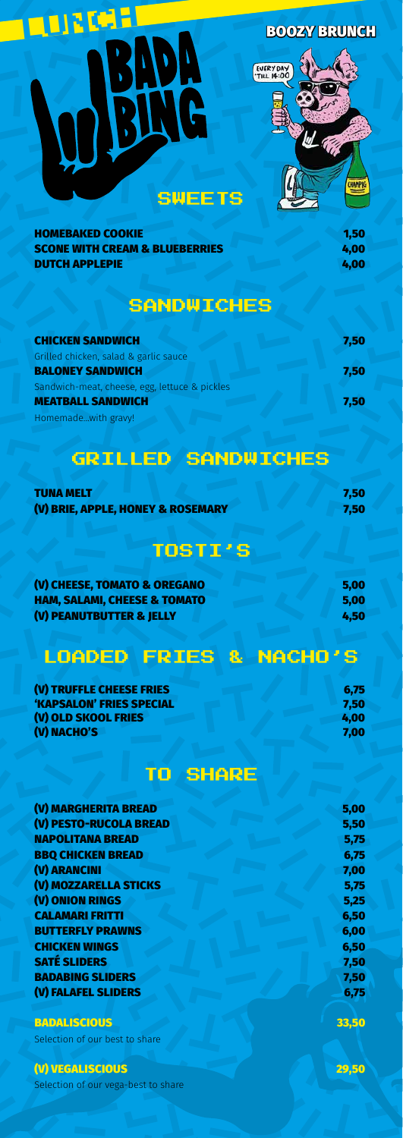# RUNCH BOOZY BRUNCH EVERY DAY W G CHAMPIG SWEETS

| <b>HOMEBAKED COOKIE</b>                   | 1,50 |
|-------------------------------------------|------|
| <b>SCONE WITH CREAM &amp; BLUEBERRIES</b> | 4,00 |
| <b>DUTCH APPLEPIE</b>                     | 4,00 |

## **SANDWICHES**

| <b>CHICKEN SANDWICH</b>                       | 7,50 |
|-----------------------------------------------|------|
| Grilled chicken, salad & garlic sauce         |      |
| <b>BALONEY SANDWICH</b>                       | 7,50 |
| Sandwich-meat, cheese, egg, lettuce & pickles |      |
| <b>MEATBALL SANDWICH</b>                      | 7,50 |
| Homemadewith gravy!                           |      |

# GRILLED SANDWICHES

| <b>TUNA MELT</b>                  | 7,50 |
|-----------------------------------|------|
| (V) BRIE, APPLE, HONEY & ROSEMARY | 7,50 |

# TOSTI'S

| (V) CHEESE, TOMATO & OREGANO            | 5,00 |
|-----------------------------------------|------|
| <b>HAM, SALAMI, CHEESE &amp; TOMATO</b> | 5,00 |
| (V) PEANUTBUTTER & JELLY                | 4,50 |

# LOADED FRIES & NACHO'S

| (V) TRUFFLE CHEESE FRIES | 6,75 |
|--------------------------|------|
| 'KAPSALON' FRIES SPECIAL | 7,50 |
| (V) OLD SKOOL FRIES      | 4,00 |
| (V) NACHO'S              | 7,00 |

# TO SHARE

| (V) MARGHERITA BREAD     | 5,00 |
|--------------------------|------|
| (V) PESTO-RUCOLA BREAD   | 5,50 |
| <b>NAPOLITANA BREAD</b>  | 5,75 |
| <b>BBQ CHICKEN BREAD</b> | 6,75 |

| 7,00 |
|------|
| 5,75 |
| 5,25 |
| 6,50 |
| 6,00 |
| 6,50 |
| 7,50 |
| 7,50 |
| 6,75 |
|      |

#### BADALISCIOUS 33,50

Selection of our best to share

### (V) VEGALISCIOUS 29,50

Selection of our vega-best to share